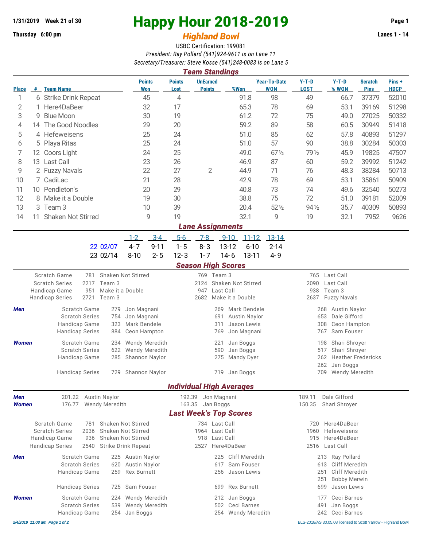## **Thursday 6:00 pm** *Highland Bowl*

## **1/31/2019** Week 21 of 30<br>
Thursday 6:00 pm<br> **Happy Hour 2018-2019 Page 1**<br> **Highland Rowl**

## USBC Certification: 199081 *President: Ray Pollard (541)924-9611 is on Lane 11 Secretary/Treasurer: Steve Kosse (541)248-0083 is on Lane 5*

|              |                                                                             |                                 |                       |                      |                             |                                        |                                                    | <b>Team Standings</b>            |                |                    |                 |                                              |                                                    |                       |                               |                       |  |  |
|--------------|-----------------------------------------------------------------------------|---------------------------------|-----------------------|----------------------|-----------------------------|----------------------------------------|----------------------------------------------------|----------------------------------|----------------|--------------------|-----------------|----------------------------------------------|----------------------------------------------------|-----------------------|-------------------------------|-----------------------|--|--|
| <b>Place</b> |                                                                             | # Team Name                     |                       |                      |                             | <b>Points</b><br>Won                   | <b>Points</b><br>Lost                              | <b>UnEarned</b><br><b>Points</b> |                | %Won               |                 | <b>Year-To-Date</b><br><b>WON</b>            | $Y-T-D$<br><b>LOST</b>                             | $Y-T-D$<br>% WON      | <b>Scratch</b><br><b>Pins</b> | Pins +<br><b>HDCP</b> |  |  |
| 1            | 6 Strike Drink Repeat                                                       |                                 |                       | 45                   | 4                           |                                        |                                                    | 91.8                             |                | 98                 | 49              | 66.7                                         | 37379                                              | 52010                 |                               |                       |  |  |
| 2            | 1 Here4DaBeer                                                               |                                 |                       | 32                   | 17                          |                                        |                                                    | 65.3                             |                | 78                 | 69              | 53.1                                         | 39169                                              | 51298                 |                               |                       |  |  |
| 3            | <b>Blue Moon</b><br>9                                                       |                                 | 30                    |                      | 19                          |                                        |                                                    | 61.2                             |                | 72                 | 75              | 49.0                                         | 27025                                              | 50332                 |                               |                       |  |  |
| 4            |                                                                             | 14 The Good Noodles             |                       |                      | 29                          |                                        | 20                                                 |                                  |                | 59.2               |                 | 89                                           | 58                                                 | 60.5                  | 30949                         | 51418                 |  |  |
| 5            | 25<br>4 Hefeweisens                                                         |                                 |                       | 24                   |                             |                                        | 51.0                                               |                                  | 85             | 62                 | 57.8            | 40893                                        | 51297                                              |                       |                               |                       |  |  |
| 6            |                                                                             | 5 Playa Ritas                   |                       | 25                   |                             | 24                                     |                                                    |                                  | 51.0           |                    | 57              | 90                                           | 38.8                                               | 30284                 | 50303                         |                       |  |  |
| 7            | 12                                                                          | Coors Light                     |                       |                      | 24                          |                                        | 25                                                 |                                  |                | 49.0               |                 | $67\frac{1}{2}$                              | 79 1/2                                             | 45.9                  | 19825                         | 47507                 |  |  |
| 8            | 13 Last Call                                                                |                                 | 23                    |                      | 26                          |                                        |                                                    | 46.9                             |                | 87                 | 60              | 59.2                                         | 39992                                              | 51242                 |                               |                       |  |  |
| 9            |                                                                             | 22<br>2 Fuzzy Navals            |                       |                      | 27                          | $\overline{2}$                         |                                                    | 44.9                             |                | 71                 | 76              | 48.3                                         | 38284                                              | 50713                 |                               |                       |  |  |
| 10           |                                                                             | 7 CadiLac                       |                       |                      |                             | 21                                     | 28                                                 |                                  |                | 42.9               |                 | 78                                           | 69                                                 | 53.1                  | 35861                         | 50909                 |  |  |
| 11           |                                                                             | 10 Pendleton's                  |                       |                      |                             | 20                                     | 29                                                 |                                  |                | 40.8               |                 | 73                                           | 74                                                 | 49.6                  | 32540                         | 50273                 |  |  |
| 12           | 8                                                                           | Make it a Double                |                       |                      | 19                          |                                        | 30                                                 |                                  |                | 38.8               |                 | 75                                           | 72                                                 | 51.0                  | 39181                         | 52009                 |  |  |
| 13           |                                                                             | 3 Team 3<br>10                  |                       |                      | 39                          |                                        |                                                    | 20.4                             |                | $52\%$             | $94\frac{1}{2}$ | 35.7                                         | 40309                                              | 50893                 |                               |                       |  |  |
| 14           | 11                                                                          | <b>Shaken Not Stirred</b>       |                       |                      |                             | 9                                      | 19                                                 |                                  |                | 32.1               |                 | 9                                            | 19                                                 | 32.1                  | 7952                          | 9626                  |  |  |
|              |                                                                             |                                 |                       |                      |                             |                                        |                                                    | <b>Lane Assignments</b>          |                |                    |                 |                                              |                                                    |                       |                               |                       |  |  |
|              |                                                                             |                                 |                       |                      | $1 - 2$                     | $3 - 4$                                | $5-6$                                              | $7-8$                            | $9 - 10$       |                    | $11 - 12$       | $13 - 14$                                    |                                                    |                       |                               |                       |  |  |
|              |                                                                             |                                 |                       | 22 02/07             | $4 - 7$                     | $9 - 11$                               | $1 - 5$                                            | $8 - 3$                          | 13-12          |                    | $6 - 10$        | $2 - 14$                                     |                                                    |                       |                               |                       |  |  |
|              |                                                                             |                                 |                       | 23 02/14             | $8 - 10$                    | $2 - 5$                                | $12 - 3$                                           | $1 - 7$                          | $14 - 6$       |                    | $13 - 11$       | $4 - 9$                                      |                                                    |                       |                               |                       |  |  |
|              |                                                                             |                                 |                       |                      |                             |                                        |                                                    | <b>Season High Scores</b>        |                |                    |                 |                                              |                                                    |                       |                               |                       |  |  |
|              |                                                                             | Scratch Game                    | 781                   | Shaken Not Stirred   |                             |                                        |                                                    | 769 Team 3                       |                |                    |                 |                                              | 765                                                | Last Call             |                               |                       |  |  |
|              | 2217<br>Team 3<br><b>Scratch Series</b>                                     |                                 |                       |                      |                             | Shaken Not Stirred<br>2124             |                                                    |                                  |                |                    |                 | 2090<br>Last Call                            |                                                    |                       |                               |                       |  |  |
|              | Handicap Game<br>951<br>2721<br><b>Handicap Series</b><br>Team 3            |                                 |                       | Make it a Double     |                             |                                        | Last Call<br>947<br>2682<br>Make it a Double       |                                  |                |                    |                 | 938<br>Team 3<br>2637<br><b>Fuzzy Navals</b> |                                                    |                       |                               |                       |  |  |
|              |                                                                             |                                 |                       |                      |                             |                                        |                                                    |                                  |                |                    |                 |                                              |                                                    |                       |                               |                       |  |  |
| Men          | Scratch Game<br>279<br><b>Scratch Series</b><br>754                         |                                 |                       | Jon Magnani          |                             |                                        | Mark Bendele<br>269<br><b>Austin Naylor</b><br>691 |                                  |                |                    |                 |                                              | <b>Austin Naylor</b><br>268<br>Dale Gifford<br>653 |                       |                               |                       |  |  |
|              |                                                                             | Handicap Game<br>323            |                       |                      | Jon Magnani<br>Mark Bendele |                                        | Jason Lewis<br>311                                 |                                  |                |                    |                 |                                              | Ceon Hampton<br>308                                |                       |                               |                       |  |  |
|              |                                                                             | <b>Handicap Series</b>          |                       | 884                  | Ceon Hampton                |                                        |                                                    |                                  | 769            | Jon Magnani        |                 |                                              |                                                    | Sam Fouser<br>767     |                               |                       |  |  |
| <b>Women</b> |                                                                             | Scratch Game<br>234             |                       |                      |                             | <b>Wendy Meredith</b>                  |                                                    |                                  | 221            | Jan Boggs          |                 |                                              |                                                    | Shari Shroyer<br>198  |                               |                       |  |  |
|              |                                                                             | <b>Scratch Series</b><br>622    |                       |                      |                             | <b>Wendy Meredith</b>                  |                                                    | Jan Boggs<br>590                 |                |                    |                 |                                              | Shari Shroyer<br>517                               |                       |                               |                       |  |  |
|              |                                                                             |                                 | Handicap Game         | 285                  |                             | Shannon Naylor                         |                                                    |                                  | 275            | Mandy Dyer         |                 |                                              |                                                    | 262                   | <b>Heather Fredericks</b>     |                       |  |  |
|              |                                                                             |                                 |                       |                      |                             |                                        |                                                    |                                  |                |                    |                 |                                              |                                                    | 262<br>Jan Boggs      |                               |                       |  |  |
|              |                                                                             | <b>Handicap Series</b>          |                       | 729                  |                             | <b>Shannon Naylor</b>                  |                                                    |                                  | 719            | Jan Boggs          |                 |                                              |                                                    | 709<br>Wendy Meredith |                               |                       |  |  |
|              |                                                                             |                                 |                       |                      |                             |                                        |                                                    | <b>Individual High Averages</b>  |                |                    |                 |                                              |                                                    |                       |                               |                       |  |  |
| Men          |                                                                             |                                 |                       | 201.22 Austin Naylor |                             |                                        | 192.39                                             |                                  | Jon Magnani    |                    |                 |                                              | 189.11                                             | Dale Gifford          |                               |                       |  |  |
| <b>Women</b> |                                                                             | 176.77<br><b>Wendy Meredith</b> |                       |                      |                             |                                        |                                                    | 163.35<br>Jan Boggs              |                |                    |                 |                                              | 150.35<br>Shari Shroyer                            |                       |                               |                       |  |  |
|              |                                                                             |                                 |                       |                      |                             |                                        |                                                    | <b>Last Week's Top Scores</b>    |                |                    |                 |                                              |                                                    |                       |                               |                       |  |  |
|              | Scratch Game<br>Shaken Not Stirred<br>781                                   |                                 |                       |                      |                             |                                        | 734 Last Call                                      |                                  |                |                    | 720<br>1960     | Here4DaBeer<br>Hefeweisens                   |                                                    |                       |                               |                       |  |  |
|              | <b>Scratch Series</b><br>2036<br>Shaken Not Stirred<br>Handicap Game<br>936 |                                 |                       | Shaken Not Stirred   |                             | 1964 Last Call<br>918<br>Last Call     |                                                    |                                  |                |                    |                 | 915<br>Here4DaBeer                           |                                                    |                       |                               |                       |  |  |
|              |                                                                             | <b>Handicap Series</b>          | 2540                  |                      | <b>Strike Drink Repeat</b>  |                                        |                                                    | 2527                             |                | Here4DaBeer        |                 |                                              | 2516                                               | Last Call             |                               |                       |  |  |
| Men          | Scratch Game                                                                |                                 |                       | 225 Austin Naylor    |                             |                                        |                                                    | 225                              | Cliff Meredith |                    |                 |                                              | 213 Ray Pollard                                    |                       |                               |                       |  |  |
|              | <b>Scratch Series</b><br>620                                                |                                 |                       | <b>Austin Naylor</b> |                             |                                        |                                                    | 617                              | Sam Fouser     |                    |                 | <b>Cliff Meredith</b><br>613                 |                                                    |                       |                               |                       |  |  |
|              | 259<br>Handicap Game                                                        |                                 |                       | <b>Rex Burnett</b>   |                             |                                        |                                                    | 256<br>Jason Lewis               |                |                    |                 | 251<br>Cliff Meredith                        |                                                    |                       |                               |                       |  |  |
|              |                                                                             |                                 |                       |                      |                             |                                        |                                                    |                                  |                |                    |                 | 251<br><b>Bobby Merwin</b>                   |                                                    |                       |                               |                       |  |  |
|              |                                                                             | <b>Handicap Series</b>          |                       | 725                  | Sam Fouser                  |                                        |                                                    |                                  | 699            | <b>Rex Burnett</b> |                 |                                              |                                                    | 699<br>Jason Lewis    |                               |                       |  |  |
| <b>Women</b> | <b>Scratch Game</b><br>224                                                  |                                 |                       |                      | Wendy Meredith              | Jan Boggs<br>Ceci Barnes<br>177<br>212 |                                                    |                                  |                |                    |                 |                                              |                                                    |                       |                               |                       |  |  |
|              |                                                                             |                                 | <b>Scratch Series</b> |                      | 539 Wendy Meredith          |                                        |                                                    |                                  |                | 502 Ceci Barnes    |                 |                                              |                                                    | 491<br>Jan Boggs      |                               |                       |  |  |

Handicap Game 254 Jan Boggs 254 Vendy Meredith 242 Ceci Barnes

*2/4/2019 11:08 am Page 1 of 2* BLS-2018/AS 30.05.08 licensed to Scott Yarrow - Highland Bowl